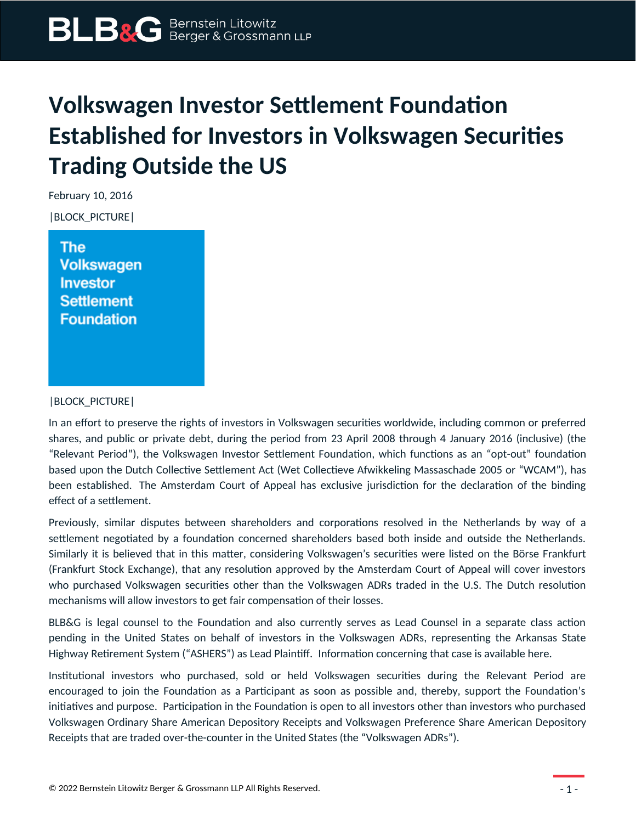## **Volkswagen Investor Settlement Foundation Established for Investors in Volkswagen Securities Trading Outside the US**

February 10, 2016

|BLOCK\_PICTURE|

The **Volkswagen Investor Settlement Foundation** 

## |BLOCK\_PICTURE|

In an effort to preserve the rights of investors in Volkswagen securities worldwide, including common or preferred shares, and public or private debt, during the period from 23 April 2008 through 4 January 2016 (inclusive) (the "Relevant Period"), the Volkswagen Investor Settlement Foundation, which functions as an "opt-out" foundation based upon the Dutch Collective Settlement Act (Wet Collectieve Afwikkeling Massaschade 2005 or "WCAM"), has been established. The Amsterdam Court of Appeal has exclusive jurisdiction for the declaration of the binding effect of a settlement.

Previously, similar disputes between shareholders and corporations resolved in the Netherlands by way of a settlement negotiated by a foundation concerned shareholders based both inside and outside the Netherlands. Similarly it is believed that in this matter, considering Volkswagen's securities were listed on the Börse Frankfurt (Frankfurt Stock Exchange), that any resolution approved by the Amsterdam Court of Appeal will cover investors who purchased Volkswagen securities other than the Volkswagen ADRs traded in the U.S. The Dutch resolution mechanisms will allow investors to get fair compensation of their losses.

BLB&G is legal counsel to the Foundation and also currently serves as Lead Counsel in a separate class action pending in the United States on behalf of investors in the Volkswagen ADRs, representing the Arkansas State Highway Retirement System ("ASHERS") as Lead Plaintiff. Information concerning that case is available here.

Institutional investors who purchased, sold or held Volkswagen securities during the Relevant Period are encouraged to join the Foundation as a Participant as soon as possible and, thereby, support the Foundation's initiatives and purpose. Participation in the Foundation is open to all investors other than investors who purchased Volkswagen Ordinary Share American Depository Receipts and Volkswagen Preference Share American Depository Receipts that are traded over-the-counter in the United States (the "Volkswagen ADRs").